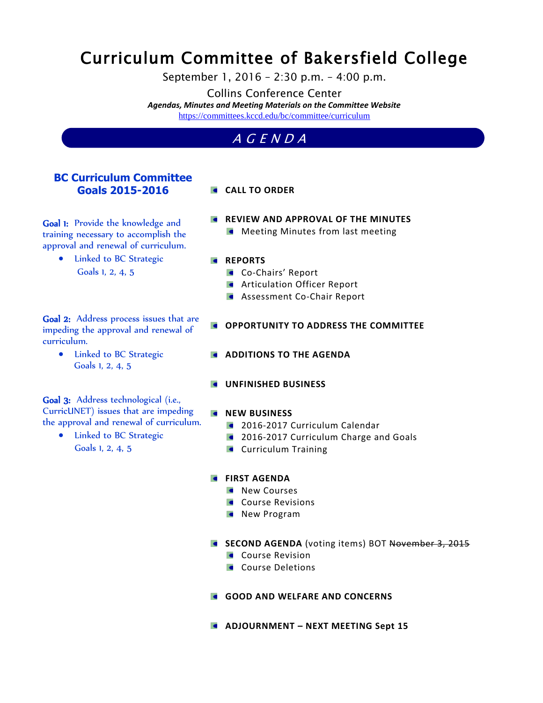# Curriculum Committee of Bakersfield College

September 1, 2016 – 2:30 p.m. – 4:00 p.m.

Collins Conference Center

*Agendas, Minutes and Meeting Materials on the Committee Website*  <https://committees.kccd.edu/bc/committee/curriculum>

# A G E N D A

## **BC Curriculum Committee Goals 2015-2016**

## **CALL TO ORDER**

Goal 1: Provide the knowledge and training necessary to accomplish the approval and renewal of curriculum.

> • Linked to BC Strategic Goals 1, 2, 4, 5

Goal 2: Address process issues that are impeding the approval and renewal of curriculum.

> • Linked to BC Strategic Goals 1, 2, 4, 5

Goal 3: Address technological (i.e., CurricUNET) issues that are impeding the approval and renewal of curriculum.

• Linked to BC Strategic Goals 1, 2, 4, 5

**REVIEW AND APPROVAL OF THE MINUTES Meeting Minutes from last meeting** 

#### **REPORTS**

- **Co-Chairs' Report**
- **Articulation Officer Report**
- **Assessment Co-Chair Report**
- **COPPORTUNITY TO ADDRESS THE COMMITTEE**
- **ADDITIONS TO THE AGENDA**
- **UNFINISHED BUSINESS**

## **NEW BUSINESS**

- **2016-2017 Curriculum Calendar**
- **2016-2017 Curriculum Charge and Goals**
- **Curriculum Training**

#### **FIRST AGENDA**

- **New Courses**
- **Course Revisions**
- **New Program**
- **SECOND AGENDA** (voting items) BOT November 3, 2015
	- **Course Revision**
	- **Course Deletions**
- **GOOD AND WELFARE AND CONCERNS**
- **ADJOURNMENT – NEXT MEETING Sept 15**